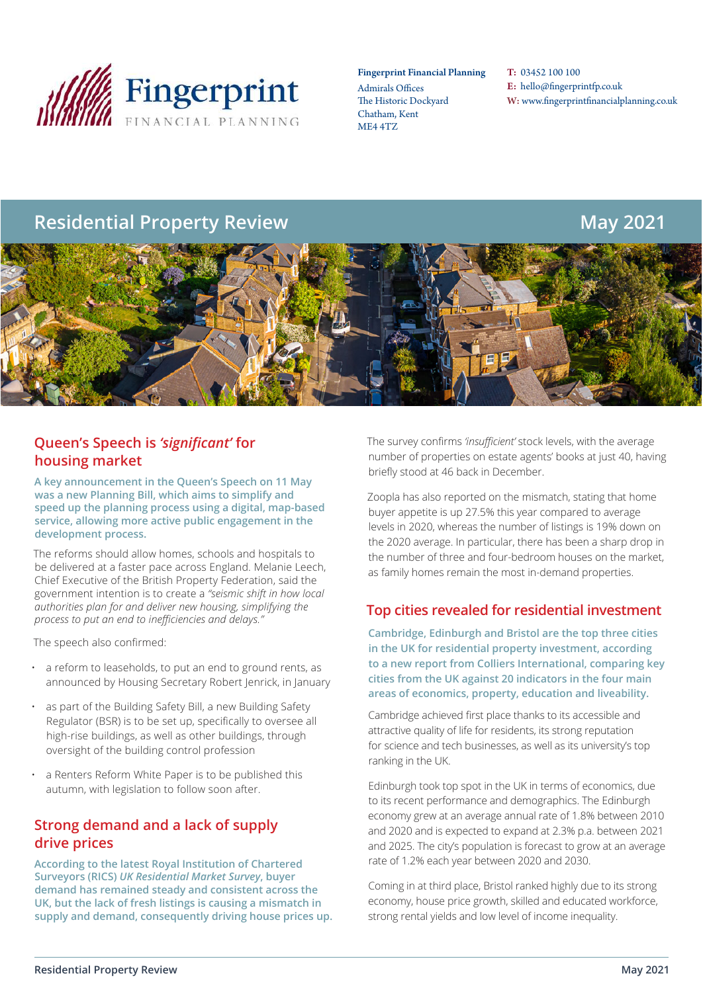

#### Fingerprint Financial Planning

Admirals Offices The Historic Dockyard Chatham, Kent ME4 4TZ

T: 03452 100 100 E: hello@fingerprintfp.co.uk W: www.fingerprintfinancialplanning.co.uk

# **Residential Property Review May 2021**



### **Queen's Speech is** *'significant'* **for housing market**

**A key announcement in the Queen's Speech on 11 May was a new Planning Bill, which aims to simplify and speed up the planning process using a digital, map-based service, allowing more active public engagement in the development process.**

The reforms should allow homes, schools and hospitals to be delivered at a faster pace across England. Melanie Leech, Chief Executive of the British Property Federation, said the government intention is to create a *"seismic shift in how local authorities plan for and deliver new housing, simplifying the process to put an end to inefficiencies and delays."*

The speech also confirmed:

- a reform to leaseholds, to put an end to ground rents, as announced by Housing Secretary Robert Jenrick, in January
- as part of the Building Safety Bill, a new Building Safety Regulator (BSR) is to be set up, specifically to oversee all high-rise buildings, as well as other buildings, through oversight of the building control profession
- a Renters Reform White Paper is to be published this autumn, with legislation to follow soon after.

#### **Strong demand and a lack of supply drive prices**

**According to the latest Royal Institution of Chartered Surveyors (RICS)** *UK Residential Market Survey***, buyer demand has remained steady and consistent across the UK, but the lack of fresh listings is causing a mismatch in supply and demand, consequently driving house prices up.** The survey confirms *'insufficient'* stock levels, with the average number of properties on estate agents' books at just 40, having briefly stood at 46 back in December.

Zoopla has also reported on the mismatch, stating that home buyer appetite is up 27.5% this year compared to average levels in 2020, whereas the number of listings is 19% down on the 2020 average. In particular, there has been a sharp drop in the number of three and four-bedroom houses on the market, as family homes remain the most in-demand properties.

#### **Top cities revealed for residential investment**

**Cambridge, Edinburgh and Bristol are the top three cities in the UK for residential property investment, according to a new report from Colliers International, comparing key cities from the UK against 20 indicators in the four main areas of economics, property, education and liveability.**

Cambridge achieved first place thanks to its accessible and attractive quality of life for residents, its strong reputation for science and tech businesses, as well as its university's top ranking in the UK.

Edinburgh took top spot in the UK in terms of economics, due to its recent performance and demographics. The Edinburgh economy grew at an average annual rate of 1.8% between 2010 and 2020 and is expected to expand at 2.3% p.a. between 2021 and 2025. The city's population is forecast to grow at an average rate of 1.2% each year between 2020 and 2030.

Coming in at third place, Bristol ranked highly due to its strong economy, house price growth, skilled and educated workforce, strong rental yields and low level of income inequality.